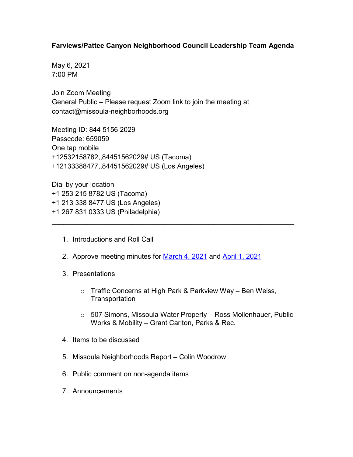## **Farviews/Pattee Canyon Neighborhood Council Leadership Team Agenda**

May 6, 2021 7:00 PM

Join Zoom Meeting General Public – Please request Zoom link to join the meeting at contact@missoula-neighborhoods.org

Meeting ID: 844 5156 2029 Passcode: 659059 One tap mobile +12532158782,,84451562029# US (Tacoma) +12133388477,,84451562029# US (Los Angeles)

Dial by your location +1 253 215 8782 US (Tacoma) +1 213 338 8477 US (Los Angeles) +1 267 831 0333 US (Philadelphia)

- 1. Introductions and Roll Call
- 2. Approve meeting minutes for [March 4, 2021](https://www.ci.missoula.mt.us/Archive.aspx?ADID=15883) and [April 1, 2021](https://www.ci.missoula.mt.us/Archive.aspx?ADID=15968)

\_\_\_\_\_\_\_\_\_\_\_\_\_\_\_\_\_\_\_\_\_\_\_\_\_\_\_\_\_\_\_\_\_\_\_\_\_\_\_\_\_\_\_\_\_\_\_\_\_\_\_\_\_\_\_\_\_\_\_\_\_\_\_

- 3. Presentations
	- o Traffic Concerns at High Park & Parkview Way Ben Weiss, **Transportation**
	- o 507 Simons, Missoula Water Property Ross Mollenhauer, Public Works & Mobility – Grant Carlton, Parks & Rec.
- 4. Items to be discussed
- 5. Missoula Neighborhoods Report Colin Woodrow
- 6. Public comment on non-agenda items
- 7. Announcements